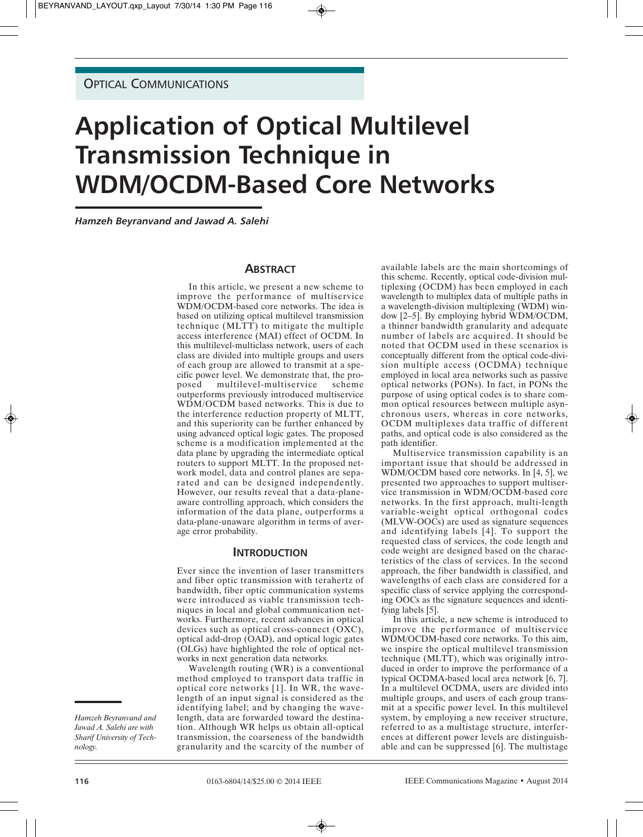# **Application of Optical Multilevel Transmission Technique in WDM/OCDM-Based Core Networks**

*Hamzeh Beyranvand and Jawad A. Salehi*

# **ABSTRACT**

In this article, we present a new scheme to improve the performance of multiservice WDM/OCDM-based core networks. The idea is based on utilizing optical multilevel transmission technique (MLTT) to mitigate the multiple access interference (MAI) effect of OCDM. In this multilevel-multiclass network, users of each class are divided into multiple groups and users of each group are allowed to transmit at a specific power level. We demonstrate that, the proposed multilevel-multiservice scheme outperforms previously introduced multiservice WDM/OCDM based networks. This is due to the interference reduction property of MLTT, and this superiority can be further enhanced by using advanced optical logic gates. The proposed scheme is a modification implemented at the data plane by upgrading the intermediate optical routers to support MLTT. In the proposed network model, data and control planes are separated and can be designed independently. However, our results reveal that a data-planeaware controlling approach, which considers the information of the data plane, outperforms a data-plane-unaware algorithm in terms of average error probability.

### **INTRODUCTION**

Ever since the invention of laser transmitters and fiber optic transmission with terahertz of bandwidth, fiber optic communication systems were introduced as viable transmission techniques in local and global communication networks. Furthermore, recent advances in optical devices such as optical cross-connect (OXC), optical add-drop (OAD), and optical logic gates (OLGs) have highlighted the role of optical networks in next generation data networks.

Wavelength routing (WR) is a conventional method employed to transport data traffic in optical core networks [1]. In WR, the wavelength of an input signal is considered as the identifying label; and by changing the wavelength, data are forwarded toward the destination. Although WR helps us obtain all-optical transmission, the coarseness of the bandwidth granularity and the scarcity of the number of available labels are the main shortcomings of this scheme. Recently, optical code-division multiplexing (OCDM) has been employed in each wavelength to multiplex data of multiple paths in a wavelength-division multiplexing (WDM) window [2–5]. By employing hybrid WDM/OCDM, a thinner bandwidth granularity and adequate number of labels are acquired. It should be noted that OCDM used in these scenarios is conceptually different from the optical code-division multiple access (OCDMA) technique employed in local area networks such as passive optical networks (PONs). In fact, in PONs the purpose of using optical codes is to share common optical resources between multiple asynchronous users, whereas in core networks, OCDM multiplexes data traffic of different paths, and optical code is also considered as the path identifier.

Multiservice transmission capability is an important issue that should be addressed in WDM/OCDM based core networks. In [4, 5], we presented two approaches to support multiservice transmission in WDM/OCDM-based core networks. In the first approach, multi-length variable-weight optical orthogonal codes (MLVW-OOCs) are used as signature sequences and identifying labels [4]. To support the requested class of services, the code length and code weight are designed based on the characteristics of the class of services. In the second approach, the fiber bandwidth is classified, and wavelengths of each class are considered for a specific class of service applying the corresponding OOCs as the signature sequences and identifying labels [5].

In this article, a new scheme is introduced to improve the performance of multiservice WDM/OCDM-based core networks. To this aim, we inspire the optical multilevel transmission technique (MLTT), which was originally introduced in order to improve the performance of a typical OCDMA-based local area network [6, 7]. In a multilevel OCDMA, users are divided into multiple groups, and users of each group transmit at a specific power level. In this multilevel system, by employing a new receiver structure, referred to as a multistage structure, interferences at different power levels are distinguishable and can be suppressed [6]. The multistage

*Hamzeh Beyranvand and Jawad A. Salehi are with Sharif University of Technology.*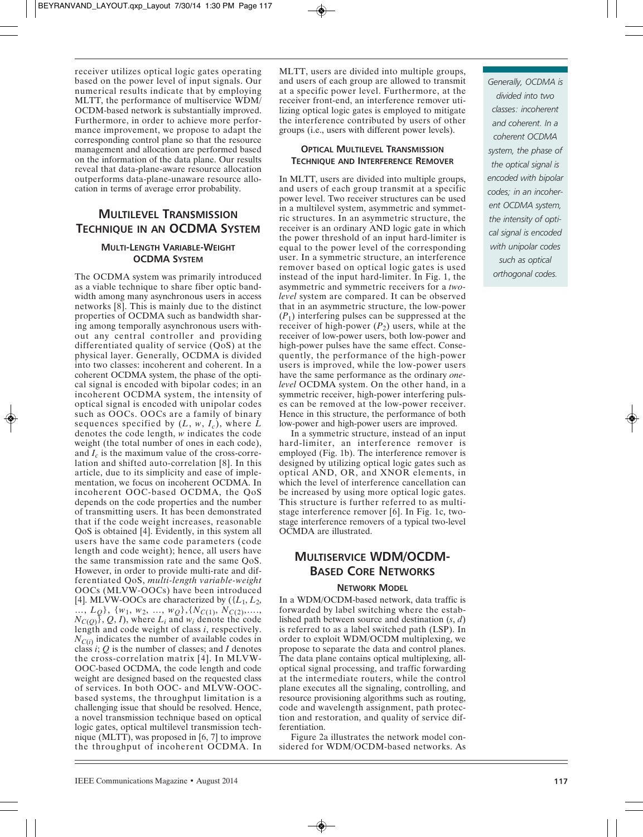receiver utilizes optical logic gates operating based on the power level of input signals. Our numerical results indicate that by employing MLTT, the performance of multiservice WDM/ OCDM-based network is substantially improved. Furthermore, in order to achieve more performance improvement, we propose to adapt the corresponding control plane so that the resource management and allocation are performed based on the information of the data plane. Our results reveal that data-plane-aware resource allocation outperforms data-plane-unaware resource allocation in terms of average error probability.

# **MULTILEVEL TRANSMISSION TECHNIQUE IN AN OCDMA SYSTEM**

### **MULTI-LENGTH VARIABLE-WEIGHT OCDMA SYSTEM**

The OCDMA system was primarily introduced as a viable technique to share fiber optic bandwidth among many asynchronous users in access networks [8]. This is mainly due to the distinct properties of OCDMA such as bandwidth sharing among temporally asynchronous users without any central controller and providing differentiated quality of service (QoS) at the physical layer. Generally, OCDMA is divided into two classes: incoherent and coherent. In a coherent OCDMA system, the phase of the optical signal is encoded with bipolar codes; in an incoherent OCDMA system, the intensity of optical signal is encoded with unipolar codes such as OOCs. OOCs are a family of binary sequences specified by  $(L, w, I_c)$ , where  $L$ denotes the code length, *w* indicates the code weight (the total number of ones in each code), and  $I_c$  is the maximum value of the cross-correlation and shifted auto-correlation [8]. In this article, due to its simplicity and ease of implementation, we focus on incoherent OCDMA. In incoherent OOC-based OCDMA, the QoS depends on the code properties and the number of transmitting users. It has been demonstrated that if the code weight increases, reasonable QoS is obtained [4]. Evidently, in this system all users have the same code parameters (code length and code weight); hence, all users have the same transmission rate and the same QoS. However, in order to provide multi-rate and differentiated QoS, *multi-length variable-weight* OOCs (MLVW-OOCs) have been introduced [4]. MLVW-OOCs are characterized by  $({L_1, L_2,})$ …, *LQ*}, {*w*1, *w*2, …, *wQ*},{*NC*(1), *NC*(2),….,  $N_{C(O)}$ , *Q*, *I*), where  $L_i$  and  $w_i$  denote the code length and code weight of class *i*, respectively.  $N_{C(i)}$  indicates the number of available codes in class *i*; *Q* is the number of classes; and *I* denotes the cross-correlation matrix [4]. In MLVW-OOC-based OCDMA, the code length and code weight are designed based on the requested class of services. In both OOC- and MLVW-OOCbased systems, the throughput limitation is a challenging issue that should be resolved. Hence, a novel transmission technique based on optical logic gates, optical multilevel transmission technique (MLTT), was proposed in [6, 7] to improve the throughput of incoherent OCDMA. In

MLTT, users are divided into multiple groups, and users of each group are allowed to transmit at a specific power level. Furthermore, at the receiver front-end, an interference remover utilizing optical logic gates is employed to mitigate the interference contributed by users of other groups (i.e., users with different power levels).

### **OPTICAL MULTILEVEL TRANSMISSION TECHNIQUE AND INTERFERENCE REMOVER**

In MLTT, users are divided into multiple groups, and users of each group transmit at a specific power level. Two receiver structures can be used in a multilevel system, asymmetric and symmetric structures. In an asymmetric structure, the receiver is an ordinary AND logic gate in which the power threshold of an input hard-limiter is equal to the power level of the corresponding user. In a symmetric structure, an interference remover based on optical logic gates is used instead of the input hard-limiter. In Fig. 1, the asymmetric and symmetric receivers for a *twolevel* system are compared. It can be observed that in an asymmetric structure, the low-power  $(P_1)$  interfering pulses can be suppressed at the receiver of high-power  $(P_2)$  users, while at the receiver of low-power users, both low-power and high-power pulses have the same effect. Consequently, the performance of the high-power users is improved, while the low-power users have the same performance as the ordinary *onelevel* OCDMA system. On the other hand, in a symmetric receiver, high-power interfering pulses can be removed at the low-power receiver. Hence in this structure, the performance of both low-power and high-power users are improved.

In a symmetric structure, instead of an input hard-limiter, an interference remover is employed (Fig. 1b). The interference remover is designed by utilizing optical logic gates such as optical AND, OR, and XNOR elements, in which the level of interference cancellation can be increased by using more optical logic gates. This structure is further referred to as multistage interference remover [6]. In Fig. 1c, twostage interference removers of a typical two-level OCMDA are illustrated.

# **MULTISERVICE WDM/OCDM-BASED CORE NETWORKS**

### **NETWORK MODEL**

In a WDM/OCDM-based network, data traffic is forwarded by label switching where the established path between source and destination (*s*, *d*) is referred to as a label switched path (LSP). In order to exploit WDM/OCDM multiplexing, we propose to separate the data and control planes. The data plane contains optical multiplexing, alloptical signal processing, and traffic forwarding at the intermediate routers, while the control plane executes all the signaling, controlling, and resource provisioning algorithms such as routing, code and wavelength assignment, path protection and restoration, and quality of service differentiation.

Figure 2a illustrates the network model considered for WDM/OCDM-based networks. As *Generally, OCDMA is divided into two classes: incoherent and coherent. In a coherent OCDMA system, the phase of the optical signal is encoded with bipolar codes; in an incoherent OCDMA system, the intensity of optical signal is encoded with unipolar codes such as optical orthogonal codes.*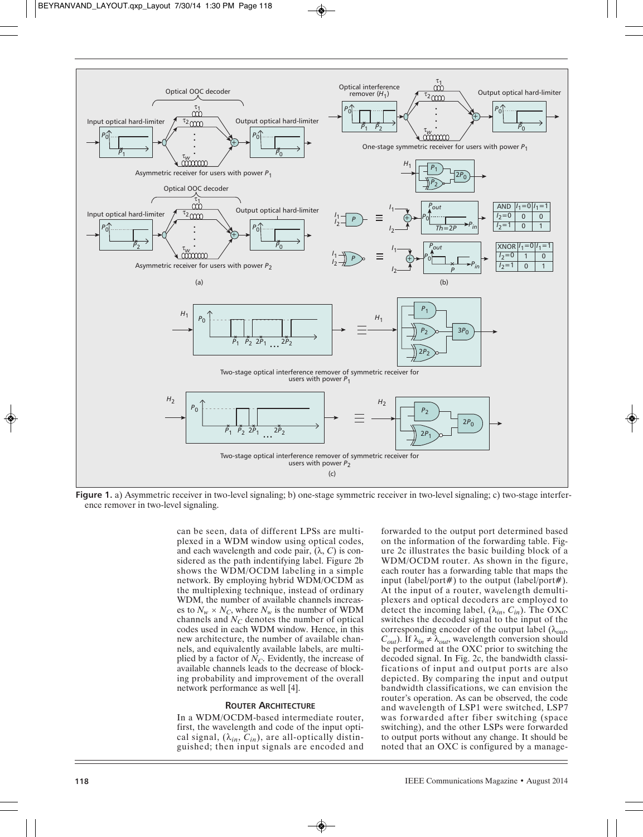

**Figure 1.** a) Asymmetric receiver in two-level signaling; b) one-stage symmetric receiver in two-level signaling; c) two-stage interference remover in two-level signaling.

can be seen, data of different LPSs are multiplexed in a WDM window using optical codes, and each wavelength and code pair,  $(\lambda, C)$  is considered as the path indentifying label. Figure 2b shows the WDM/OCDM labeling in a simple network. By employing hybrid WDM/OCDM as the multiplexing technique, instead of ordinary WDM, the number of available channels increases to  $N_w \times N_C$ , where  $N_w$  is the number of WDM channels and  $N_C$  denotes the number of optical codes used in each WDM window. Hence, in this new architecture, the number of available channels, and equivalently available labels, are multiplied by a factor of  $N_C$ . Evidently, the increase of available channels leads to the decrease of blocking probability and improvement of the overall network performance as well [4].

### **ROUTER ARCHITECTURE**

In a WDM/OCDM-based intermediate router, first, the wavelength and code of the input optical signal,  $(\lambda_{in}, C_{in})$ , are all-optically distinguished; then input signals are encoded and forwarded to the output port determined based on the information of the forwarding table. Figure 2c illustrates the basic building block of a WDM/OCDM router. As shown in the figure, each router has a forwarding table that maps the input (label/port#) to the output (label/port#). At the input of a router, wavelength demultiplexers and optical decoders are employed to detect the incoming label,  $(\lambda_{in}, C_{in})$ . The OXC switches the decoded signal to the input of the corresponding encoder of the output label  $(\lambda_{out},$ *C<sub>out</sub>*). If  $\lambda_{in} \neq \lambda_{out}$ , wavelength conversion should be performed at the OXC prior to switching the decoded signal. In Fig. 2c, the bandwidth classifications of input and output ports are also depicted. By comparing the input and output bandwidth classifications, we can envision the router's operation. As can be observed, the code and wavelength of LSP1 were switched, LSP7 was forwarded after fiber switching (space switching), and the other LSPs were forwarded to output ports without any change. It should be noted that an OXC is configured by a manage-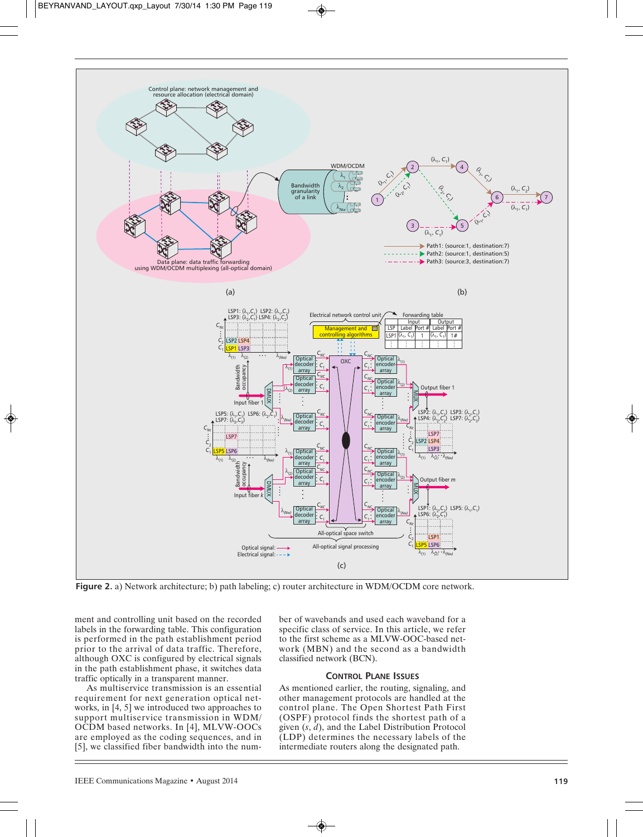

**Figure 2.** a) Network architecture; b) path labeling; c) router architecture in WDM/OCDM core network.

ment and controlling unit based on the recorded labels in the forwarding table. This configuration is performed in the path establishment period prior to the arrival of data traffic. Therefore, although OXC is configured by electrical signals in the path establishment phase, it switches data traffic optically in a transparent manner.

As multiservice transmission is an essential requirement for next generation optical networks, in [4, 5] we introduced two approaches to support multiservice transmission in WDM/ OCDM based networks. In [4], MLVW-OOCs are employed as the coding sequences, and in [5], we classified fiber bandwidth into the number of wavebands and used each waveband for a specific class of service. In this article, we refer to the first scheme as a MLVW-OOC-based network (MBN) and the second as a bandwidth classified network (BCN).

### **CONTROL PLANE ISSUES**

As mentioned earlier, the routing, signaling, and other management protocols are handled at the control plane. The Open Shortest Path First (OSPF) protocol finds the shortest path of a given (*s*, *d*), and the Label Distribution Protocol (LDP) determines the necessary labels of the intermediate routers along the designated path.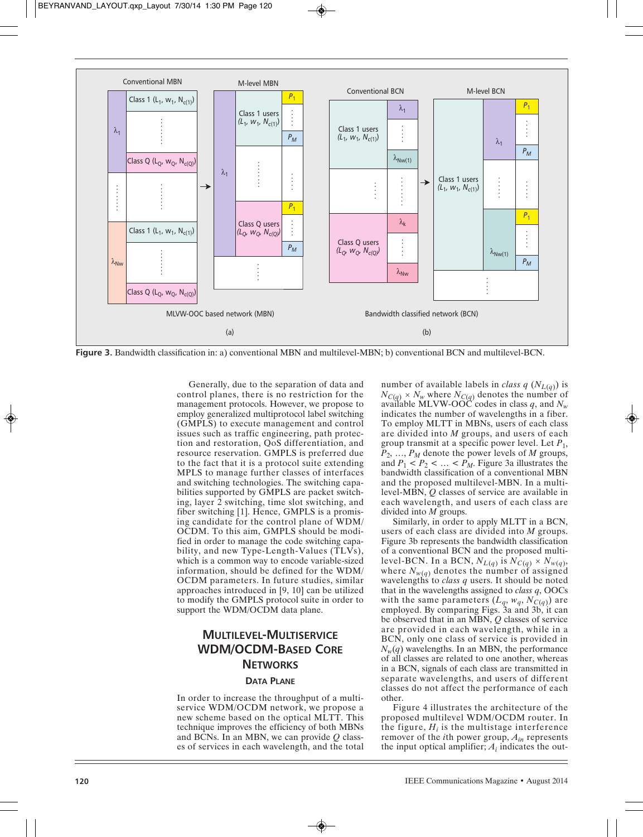

**Figure 3.** Bandwidth classification in: a) conventional MBN and multilevel-MBN; b) conventional BCN and multilevel-BCN.

Generally, due to the separation of data and control planes, there is no restriction for the management protocols. However, we propose to employ generalized multiprotocol label switching (GMPLS) to execute management and control issues such as traffic engineering, path protection and restoration, QoS differentiation, and resource reservation. GMPLS is preferred due to the fact that it is a protocol suite extending MPLS to manage further classes of interfaces and switching technologies. The switching capabilities supported by GMPLS are packet switching, layer 2 switching, time slot switching, and fiber switching [1]. Hence, GMPLS is a promising candidate for the control plane of WDM/ OCDM. To this aim, GMPLS should be modified in order to manage the code switching capability, and new Type-Length-Values  $(\tilde{TLVs})$ , which is a common way to encode variable-sized information, should be defined for the WDM/ OCDM parameters. In future studies, similar approaches introduced in [9, 10] can be utilized to modify the GMPLS protocol suite in order to support the WDM/OCDM data plane.

# **MULTILEVEL-MULTISERVICE WDM/OCDM-BASED CORE NETWORKS DATA PLANE**

In order to increase the throughput of a multiservice WDM/OCDM network, we propose a new scheme based on the optical MLTT. This technique improves the efficiency of both MBNs and BCNs. In an MBN, we can provide *Q* classes of services in each wavelength, and the total number of available labels in *class q*  $(N_{L(q)})$  is  $N_{C(q)} \times N_w$  where  $N_{C(q)}$  denotes the number of available MLVW-OOC codes in class  $q$ , and  $N_w$ indicates the number of wavelengths in a fiber. To employ MLTT in MBNs, users of each class are divided into *M* groups, and users of each group transmit at a specific power level. Let  $P_1$ ,  $P_2, \ldots, P_M$  denote the power levels of *M* groups, and  $P_1 < P_2 < \ldots < P_M$ . Figure 3a illustrates the bandwidth classification of a conventional MBN and the proposed multilevel-MBN. In a multilevel-MBN, *Q* classes of service are available in each wavelength, and users of each class are divided into *M* groups.

Similarly, in order to apply MLTT in a BCN, users of each class are divided into *M* groups. Figure 3b represents the bandwidth classification of a conventional BCN and the proposed multilevel-BCN. In a BCN,  $N_{L(q)}$  is  $N_{C(q)} \times N_{w(q)}$ , where  $N_{w(q)}$  denotes the number of assigned wavelengths to *class q* users. It should be noted that in the wavelengths assigned to *class q*, OOCs with the same parameters  $(L_q, w_q, N_{C(q)})$  are employed. By comparing Figs. 3a and 3b, it can be observed that in an MBN, *Q* classes of service are provided in each wavelength, while in a BCN, only one class of service is provided in  $N_w(q)$  wavelengths. In an MBN, the performance of all classes are related to one another, whereas in a BCN, signals of each class are transmitted in separate wavelengths, and users of different classes do not affect the performance of each other.

Figure 4 illustrates the architecture of the proposed multilevel WDM/OCDM router. In the figure,  $H_i$  is the multistage interference remover of the *i*th power group, *Ain* represents the input optical amplifier;  $A_i$  indicates the out-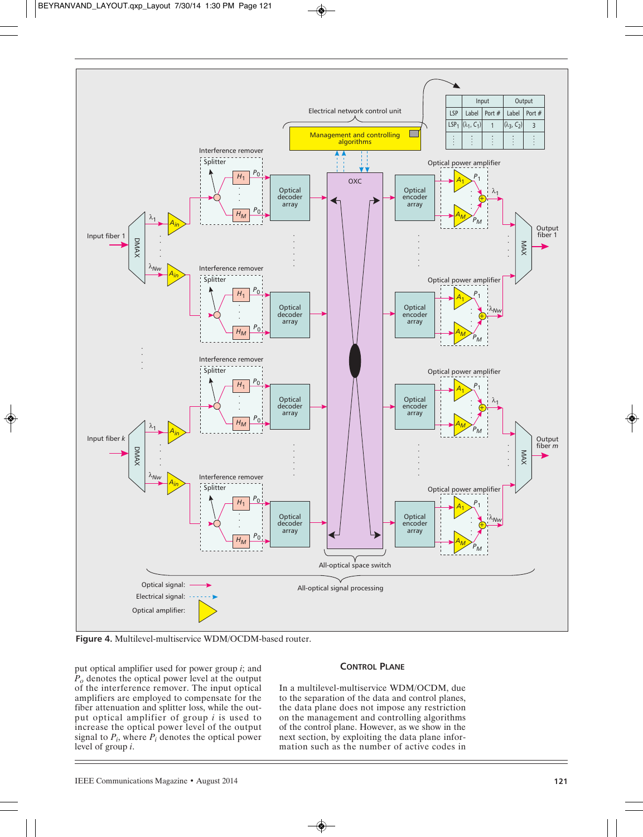

**Figure 4.** Multilevel-multiservice WDM/OCDM-based router.

put optical amplifier used for power group *i*; and *Po* denotes the optical power level at the output of the interference remover. The input optical amplifiers are employed to compensate for the fiber attenuation and splitter loss, while the output optical amplifier of group *i* is used to increase the optical power level of the output signal to  $P_i$ , where  $P_i$  denotes the optical power level of group *i*.

### **CONTROL PLANE**

In a multilevel-multiservice WDM/OCDM, due to the separation of the data and control planes, the data plane does not impose any restriction on the management and controlling algorithms of the control plane. However, as we show in the next section, by exploiting the data plane information such as the number of active codes in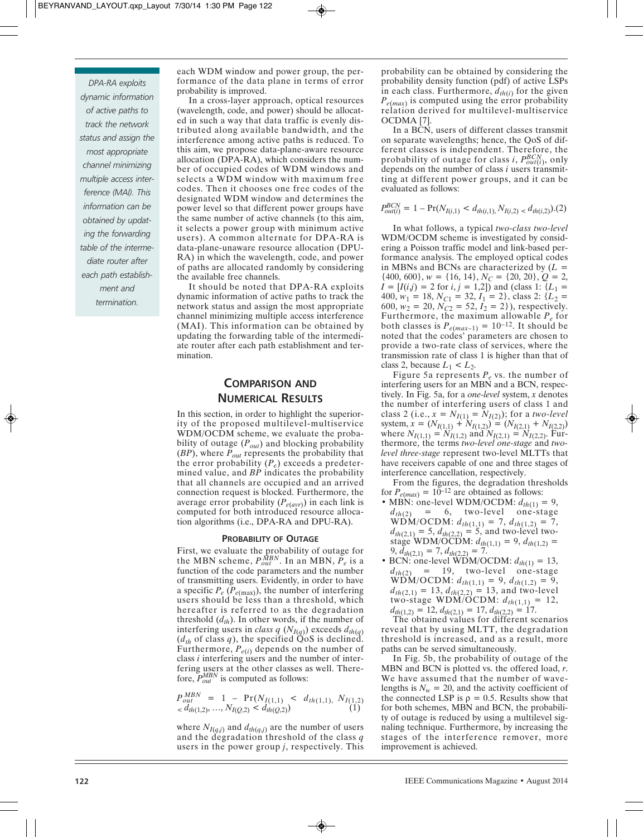*DPA-RA exploits dynamic information of active paths to track the network status and assign the most appropriate channel minimizing multiple access interference (MAI). This information can be obtained by updating the forwarding table of the intermediate router after each path establishment and termination.*

each WDM window and power group, the performance of the data plane in terms of error probability is improved.

In a cross-layer approach, optical resources (wavelength, code, and power) should be allocated in such a way that data traffic is evenly distributed along available bandwidth, and the interference among active paths is reduced. To this aim, we propose data-plane-aware resource allocation (DPA-RA), which considers the number of occupied codes of WDM windows and selects a WDM window with maximum free codes. Then it chooses one free codes of the designated WDM window and determines the power level so that different power groups have the same number of active channels (to this aim, it selects a power group with minimum active users). A common alternate for DPA-RA is data-plane-unaware resource allocation (DPU-RA) in which the wavelength, code, and power of paths are allocated randomly by considering the available free channels.

It should be noted that DPA-RA exploits dynamic information of active paths to track the network status and assign the most appropriate channel minimizing multiple access interference (MAI). This information can be obtained by updating the forwarding table of the intermediate router after each path establishment and termination.

# **COMPARISON AND NUMERICAL RESULTS**

In this section, in order to highlight the superiority of the proposed multilevel-multiservice WDM/OCDM scheme, we evaluate the probability of outage  $(P_{out})$  and blocking probability (*BP*), where *Pout* represents the probability that the error probability  $(P_e)$  exceeds a predetermined value, and *BP* indicates the probability that all channels are occupied and an arrived connection request is blocked. Furthermore, the average error probability  $(P_{e(av)})$  in each link is computed for both introduced resource allocation algorithms (i.e., DPA-RA and DPU-RA).

#### **PROBABILITY OF OUTAGE**

First, we evaluate the probability of outage for the MBN scheme,  $P_{out}^{MBN}$ . In an MBN,  $\overline{P}_e$  is a function of the code parameters and the number of transmitting users. Evidently, in order to have a specific  $P_e$  ( $P_{e(\text{max})}$ ), the number of interfering users should be less than a threshold, which hereafter is referred to as the degradation threshold  $(d<sub>th</sub>)$ . In other words, if the number of interfering users in *class q* ( $N_{I(q)}$ ) exceeds  $d_{th(q)}$  $(d<sub>th</sub>$  of class *q*), the specified QoS is declined. Furthermore,  $P_{e(i)}$  depends on the number of class *i* interfering users and the number of interfering users at the other classes as well. Therefore, *Pout MBN* is computed as follows:

$$
P_{out}^{MBN} = 1 - \Pr(N_{I(1,1)} < d_{th(1,1)}, N_{I(1,2)} \n< d_{th(1,2)}, \ldots, N_{I(Q,2)} < d_{th(Q,2)}) \tag{1}
$$

where  $N_{I(q,j)}$  and  $d_{th(q,j)}$  are the number of users and the degradation threshold of the class *q* users in the power group *j*, respectively. This probability can be obtained by considering the probability density function (pdf) of active LSPs in each class. Furthermore,  $d_{th(i)}$  for the given  $P_{e(max)}$  is computed using the error probability relation derived for multilevel-multiservice OCDMA [7].

In a BCN, users of different classes transmit on separate wavelengths; hence, the QoS of different classes is independent. Therefore, the probability of outage for class *i*,  $P_{out(i)}^{BCN}$ , only depends on the number of class *i* users transmitting at different power groups, and it can be evaluated as follows:

$$
P_{out(i)}^{BCN} = 1 - \Pr(N_{I(i,1)} < d_{th(i,1)}, N_{I(i,2)} < d_{th(i,2)}). \tag{2}
$$

In what follows, a typical *two-class two-level* WDM/OCDM scheme is investigated by considering a Poisson traffic model and link-based performance analysis. The employed optical codes in MBNs and BCNs are characterized by  $(L =$  $\{400, 600\}, w = \{16, 14\}, N_C = \{20, 20\}, Q = 2$  $I = [I(i, j) = 2$  for  $i, j = 1,2]$ ) and (class 1: { $L_1 =$ 400,  $w_1 = 18$ ,  $N_{C1} = 32$ ,  $I_1 = 2$ , class 2: { $L_2 =$ 600,  $w_2 = 20$ ,  $N_{C2} = 52$ ,  $I_2 = 2$ }), respectively. Furthermore, the maximum allowable  $P_e$  for both classes is  $P_{e(max-1)} = 10^{-12}$ . It should be noted that the codes' parameters are chosen to provide a two-rate class of services, where the transmission rate of class 1 is higher than that of class 2, because  $L_1 < L_2$ .

Figure 5a represents *Pe* vs. the number of interfering users for an MBN and a BCN, respectively. In Fig. 5a, for a *one-level* system, *x* denotes the number of interfering users of class 1 and class 2 (i.e.,  $x = N_{I(1)} = N_{I(2)}$ ); for a *two-level* system,  $\hat{x} = (N_{I(1,1)} + N_{I(1,2)}) = (N_{I(2,1)} + N_{I(2,2)})$ where  $N_{I(1,1)} = N_{I(1,2)}$  and  $N_{I(2,1)} = N_{I(2,2)}$ . Furthermore, the terms *two-level one-stage* and *twolevel three-stage* represent two-level MLTTs that have receivers capable of one and three stages of interference cancellation, respectively.

From the figures, the degradation thresholds for  $P_{e(max)} = 10^{-12}$  are obtained as follows:

- MBN: one-level WDM/OCDM:  $d_{th(1)} = 9$ ,  $d_{th(2)}$  = 6, two-level one-stage WDM/OCDM:  $d_{th(1,1)} = 7$ ,  $d_{th(1,2)} = 7$ ,  $d_{th(2,1)} = 5, d_{th(2,2)} = 5$ , and two-level twostage WDM/OCDM:  $d_{th(1,1)} = 9$ ,  $d_{th(1,2)} =$ 9,  $\bar{d}_{th(2,1)} = 7$ ,  $d_{th(2,2)} = 7$ .
- BCN: one-level WDM/OCDM:  $d_{th(1)} = 13$ ,  $d_{th(2)}$  = 19, two-level one-stage WDM/OCDM:  $d_{th(1,1)} = 9$ ,  $d_{th(1,2)} = 9$ ,  $d_{th(2,1)} = 13$ ,  $d_{th(2,2)} = 13$ , and two-level two-stage WDM/OCDM:  $d_{th(1,1)} = 12$ ,  $d_{th(1,2)} = 12, d_{th(2,1)} = 17, d_{th(2,2)} = 17.$

The obtained values for different scenarios reveal that by using MLTT, the degradation threshold is increased, and as a result, more paths can be served simultaneously.

In Fig. 5b, the probability of outage of the MBN and BCN is plotted vs. the offered load, *r*. We have assumed that the number of wavelengths is  $N_w = 20$ , and the activity coefficient of the connected LSP is  $\rho = 0.5$ . Results show that for both schemes, MBN and BCN, the probability of outage is reduced by using a multilevel signaling technique. Furthermore, by increasing the stages of the interference remover, more improvement is achieved.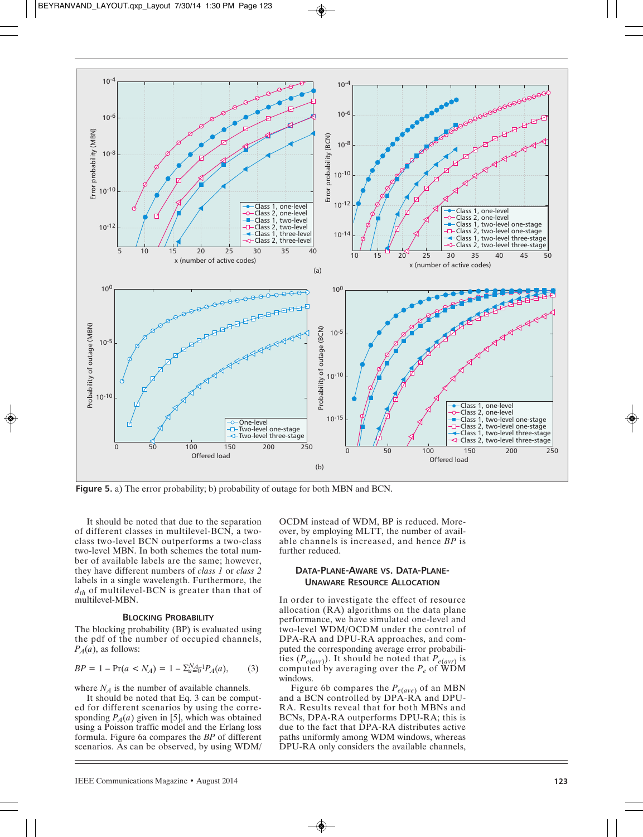

**Figure 5.** a) The error probability; b) probability of outage for both MBN and BCN.

It should be noted that due to the separation of different classes in multilevel-BCN, a twoclass two-level BCN outperforms a two-class two-level MBN. In both schemes the total number of available labels are the same; however, they have different numbers of *class 1* or *class 2* labels in a single wavelength. Furthermore, the  $d_{th}$  of multilevel-BCN is greater than that of multilevel-MBN.

#### **BLOCKING PROBABILITY**

The blocking probability (BP) is evaluated using the pdf of the number of occupied channels,  $P_A(a)$ , as follows:

$$
BP = 1 - \Pr(a < N_A) = 1 - \sum_{a=0}^{N_A} \bar{1} P_A(a),\tag{3}
$$

where  $N_A$  is the number of available channels.

It should be noted that Eq. 3 can be computed for different scenarios by using the corresponding  $P_A(a)$  given in [5], which was obtained using a Poisson traffic model and the Erlang loss formula. Figure 6a compares the *BP* of different scenarios. As can be observed, by using WDM/ OCDM instead of WDM, BP is reduced. Moreover, by employing MLTT, the number of available channels is increased, and hence *BP* is further reduced.

# **DATA-PLANE-AWARE VS. DATA-PLANE-UNAWARE RESOURCE ALLOCATION**

In order to investigate the effect of resource allocation (RA) algorithms on the data plane performance, we have simulated one-level and two-level WDM/OCDM under the control of DPA-RA and DPU-RA approaches, and computed the corresponding average error probabilities  $(P_{e(avr})$ . It should be noted that  $P_{e(avr)}$  is computed by averaging over the  $P_e$  of WDM windows.

Figure 6b compares the *Pe*(*ave*) of an MBN and a BCN controlled by DPA-RA and DPU-RA. Results reveal that for both MBNs and BCNs, DPA-RA outperforms DPU-RA; this is due to the fact that DPA-RA distributes active paths uniformly among WDM windows, whereas DPU-RA only considers the available channels,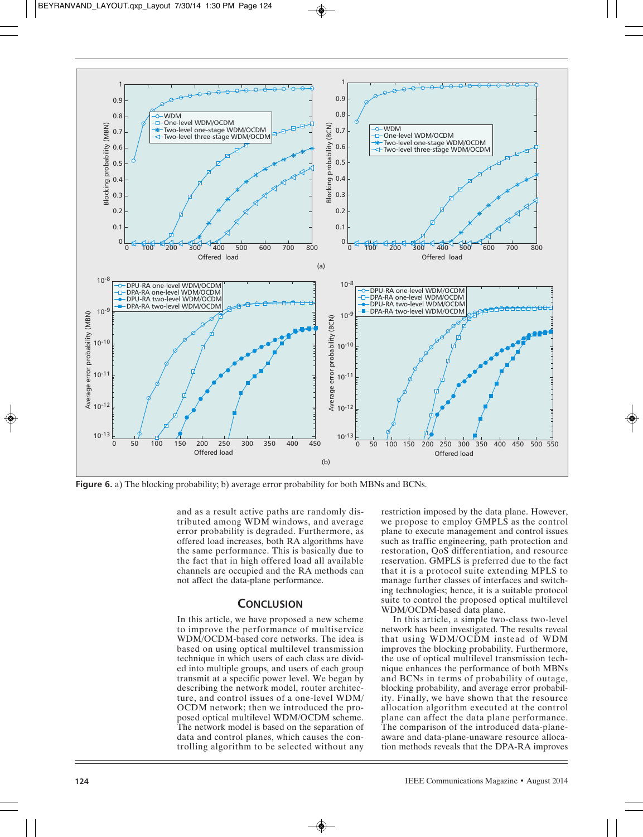

**Figure 6.** a) The blocking probability; b) average error probability for both MBNs and BCNs.

and as a result active paths are randomly distributed among WDM windows, and average error probability is degraded. Furthermore, as offered load increases, both RA algorithms have the same performance. This is basically due to the fact that in high offered load all available channels are occupied and the RA methods can not affect the data-plane performance.

### **CONCLUSION**

In this article, we have proposed a new scheme to improve the performance of multiservice WDM/OCDM-based core networks. The idea is based on using optical multilevel transmission technique in which users of each class are divided into multiple groups, and users of each group transmit at a specific power level. We began by describing the network model, router architecture, and control issues of a one-level WDM/ OCDM network; then we introduced the proposed optical multilevel WDM/OCDM scheme. The network model is based on the separation of data and control planes, which causes the controlling algorithm to be selected without any restriction imposed by the data plane. However, we propose to employ GMPLS as the control plane to execute management and control issues such as traffic engineering, path protection and restoration, QoS differentiation, and resource reservation. GMPLS is preferred due to the fact that it is a protocol suite extending MPLS to manage further classes of interfaces and switching technologies; hence, it is a suitable protocol suite to control the proposed optical multilevel WDM/OCDM-based data plane.

In this article, a simple two-class two-level network has been investigated. The results reveal that using WDM/OCDM instead of WDM improves the blocking probability. Furthermore, the use of optical multilevel transmission technique enhances the performance of both MBNs and BCNs in terms of probability of outage, blocking probability, and average error probability. Finally, we have shown that the resource allocation algorithm executed at the control plane can affect the data plane performance. The comparison of the introduced data-planeaware and data-plane-unaware resource allocation methods reveals that the DPA-RA improves